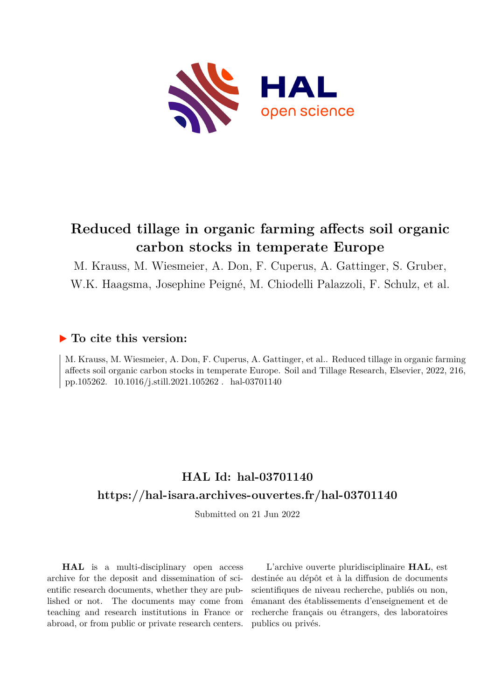

# **Reduced tillage in organic farming affects soil organic carbon stocks in temperate Europe**

M. Krauss, M. Wiesmeier, A. Don, F. Cuperus, A. Gattinger, S. Gruber,

W.K. Haagsma, Josephine Peigné, M. Chiodelli Palazzoli, F. Schulz, et al.

# **To cite this version:**

M. Krauss, M. Wiesmeier, A. Don, F. Cuperus, A. Gattinger, et al.. Reduced tillage in organic farming affects soil organic carbon stocks in temperate Europe. Soil and Tillage Research, Elsevier, 2022, 216, pp.105262.  $10.1016/j.still.2021.105262$ . hal-03701140

# **HAL Id: hal-03701140 <https://hal-isara.archives-ouvertes.fr/hal-03701140>**

Submitted on 21 Jun 2022

**HAL** is a multi-disciplinary open access archive for the deposit and dissemination of scientific research documents, whether they are published or not. The documents may come from teaching and research institutions in France or abroad, or from public or private research centers.

L'archive ouverte pluridisciplinaire **HAL**, est destinée au dépôt et à la diffusion de documents scientifiques de niveau recherche, publiés ou non, émanant des établissements d'enseignement et de recherche français ou étrangers, des laboratoires publics ou privés.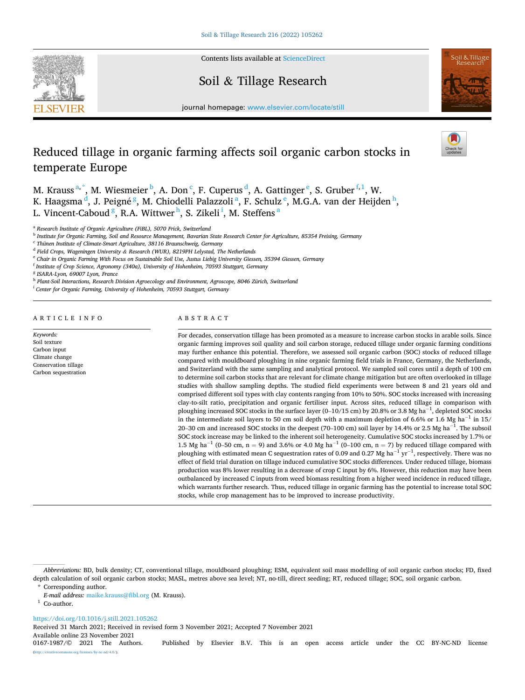

Contents lists available at [ScienceDirect](www.sciencedirect.com/science/journal/01671987)

# Soil & Tillage Research



journal homepage: [www.elsevier.com/locate/still](https://www.elsevier.com/locate/still)

# Reduced tillage in organic farming affects soil organic carbon stocks in temperate Europe

M. Krauss  $a^*$ , M. Wiesmeier  $^b$ , A. Don  $^c$ , F. Cuperus  $^d$ , A. Gattinger  $^e$ , S. Gruber  $^{f,1}$ , W. K. Haagsma <sup>d</sup>, J. Peigné <sup>g</sup>, M. Chiodelli Palazzoli <sup>a</sup>, F. Schulz <sup>e</sup>, M.G.A. van der Heijden <sup>h</sup>, L. Vincent-Caboud <sup>g</sup>, R.A. Wittwer <sup>h</sup>, S. Zikeli <sup>i</sup>, M. Steffens <sup>a</sup>

<sup>a</sup> *Research Institute of Organic Agriculture (FiBL), 5070 Frick, Switzerland* 

<sup>b</sup> *Institute for Organic Farming, Soil and Resource Management, Bavarian State Research Center for Agriculture, 85354 Freising, Germany* 

<sup>c</sup> *Thünen Institute of Climate-Smart Agriculture, 38116 Braunschweig, Germany* 

<sup>d</sup> *Field Crops, Wageningen University & Research (WUR), 8219PH Lelystad, The Netherlands* 

<sup>e</sup> *Chair in Organic Farming With Focus on Sustainable Soil Use, Justus Liebig University Giessen, 35394 Giessen, Germany* 

<sup>f</sup> *Institute of Crop Science, Agronomy (340a), University of Hohenheim, 70593 Stuttgart, Germany* 

<sup>g</sup> *ISARA-Lyon, 69007 Lyon, France* 

<sup>h</sup> *Plant-Soil Interactions, Research Division Agroecology and Environment, Agroscope, 8046 Zürich, Switzerland* 

<sup>i</sup> Center for Organic Farming, University of Hohenheim, 70593 Stuttgart, Germany

ARTICLE INFO

*Keywords:*  Soil texture Carbon input Climate change Conservation tillage Carbon sequestration

# ABSTRACT

For decades, conservation tillage has been promoted as a measure to increase carbon stocks in arable soils. Since organic farming improves soil quality and soil carbon storage, reduced tillage under organic farming conditions may further enhance this potential. Therefore, we assessed soil organic carbon (SOC) stocks of reduced tillage compared with mouldboard ploughing in nine organic farming field trials in France, Germany, the Netherlands, and Switzerland with the same sampling and analytical protocol. We sampled soil cores until a depth of 100 cm to determine soil carbon stocks that are relevant for climate change mitigation but are often overlooked in tillage studies with shallow sampling depths. The studied field experiments were between 8 and 21 years old and comprised different soil types with clay contents ranging from 10% to 50%. SOC stocks increased with increasing clay-to-silt ratio, precipitation and organic fertiliser input. Across sites, reduced tillage in comparison with ploughing increased SOC stocks in the surface layer (0–10/15 cm) by 20.8% or 3.8 Mg ha<sup>-1</sup>, depleted SOC stocks in the intermediate soil layers to 50 cm soil depth with a maximum depletion of 6.6% or 1.6 Mg ha<sup>-1</sup> in 15/ 20–30 cm and increased SOC stocks in the deepest (70–100 cm) soil layer by 14.4% or 2.5 Mg ha<sup>-1</sup>. The subsoil SOC stock increase may be linked to the inherent soil heterogeneity. Cumulative SOC stocks increased by 1.7% or 1.5 Mg ha<sup>-1</sup> (0–50 cm, n = 9) and 3.6% or 4.0 Mg ha<sup>-1</sup> (0–100 cm, n = 7) by reduced tillage compared with ploughing with estimated mean C sequestration rates of 0.09 and 0.27 Mg ha $^{-1}$  yr $^{-1}$ , respectively. There was no effect of field trial duration on tillage induced cumulative SOC stocks differences. Under reduced tillage, biomass production was 8% lower resulting in a decrease of crop C input by 6%. However, this reduction may have been outbalanced by increased C inputs from weed biomass resulting from a higher weed incidence in reduced tillage, which warrants further research. Thus, reduced tillage in organic farming has the potential to increase total SOC stocks, while crop management has to be improved to increase productivity.

<https://doi.org/10.1016/j.still.2021.105262>

Received 31 March 2021; Received in revised form 3 November 2021; Accepted 7 November 2021

Available online 23 November 2021<br>0167-1987/© 2021 The Authors. Published by Elsevier B.V. This is an open access article under the CC BY-NC-ND license

 $nc-nd/4.0/$ ).

*Abbreviations:* BD, bulk density; CT, conventional tillage, mouldboard ploughing; ESM, equivalent soil mass modelling of soil organic carbon stocks; FD, fixed depth calculation of soil organic carbon stocks; MASL, metres above sea level; NT, no-till, direct seeding; RT, reduced tillage; SOC, soil organic carbon. Corresponding author.

*E-mail address:* [maike.krauss@fibl.org](mailto:maike.krauss@fibl.org) (M. Krauss). 1 Co-author.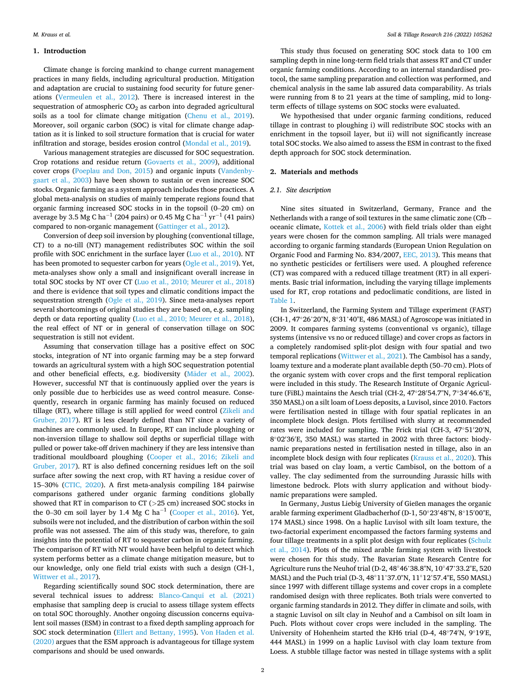## **1. Introduction**

Climate change is forcing mankind to change current management practices in many fields, including agricultural production. Mitigation and adaptation are crucial to sustaining food security for future generations (Vermeulen et al., 2012). There is increased interest in the sequestration of atmospheric  $CO<sub>2</sub>$  as carbon into degraded agricultural soils as a tool for climate change mitigation (Chenu et al., 2019). Moreover, soil organic carbon (SOC) is vital for climate change adaptation as it is linked to soil structure formation that is crucial for water infiltration and storage, besides erosion control (Mondal et al., 2019).

Various management strategies are discussed for SOC sequestration. Crop rotations and residue return (Govaerts et al., 2009), additional cover crops (Poeplau and Don, 2015) and organic inputs (Vandenbygaart et al., 2003) have been shown to sustain or even increase SOC stocks. Organic farming as a system approach includes those practices. A global meta-analysis on studies of mainly temperate regions found that organic farming increased SOC stocks in in the topsoil (0–20 cm) on average by 3.5 Mg C ha<sup>-1</sup> (204 pairs) or 0.45 Mg C ha<sup>-1</sup> yr<sup>-1</sup> (41 pairs) compared to non-organic management (Gattinger et al., 2012).

Conversion of deep soil inversion by ploughing (conventional tillage, CT) to a no-till (NT) management redistributes SOC within the soil profile with SOC enrichment in the surface layer (Luo et al., 2010). NT has been promoted to sequester carbon for years (Ogle et al., 2019). Yet, meta-analyses show only a small and insignificant overall increase in total SOC stocks by NT over CT (Luo et al., 2010; Meurer et al., 2018) and there is evidence that soil types and climatic conditions impact the sequestration strength (Ogle et al., 2019). Since meta-analyses report several shortcomings of original studies they are based on, e.g. sampling depth or data reporting quality (Luo et al., 2010; Meurer et al., 2018), the real effect of NT or in general of conservation tillage on SOC sequestration is still not evident.

Assuming that conservation tillage has a positive effect on SOC stocks, integration of NT into organic farming may be a step forward towards an agricultural system with a high SOC sequestration potential and other beneficial effects, e.g. biodiversity (Mäder et al., 2002). However, successful NT that is continuously applied over the years is only possible due to herbicides use as weed control measure. Consequently, research in organic farming has mainly focused on reduced tillage (RT), where tillage is still applied for weed control (Zikeli and Gruber, 2017). RT is less clearly defined than NT since a variety of machines are commonly used. In Europe, RT can include ploughing or non-inversion tillage to shallow soil depths or superficial tillage with pulled or power take-off driven machinery if they are less intensive than traditional mouldboard ploughing (Cooper et al., 2016; Zikeli and Gruber, 2017). RT is also defined concerning residues left on the soil surface after sowing the next crop, with RT having a residue cover of 15–30% (CTIC, 2020). A first meta-analysis compiling 184 pairwise comparisons gathered under organic farming conditions globally showed that RT in comparison to CT (*>*25 cm) increased SOC stocks in the 0–30 cm soil layer by 1.4 Mg C ha<sup>-1</sup> (Cooper et al., 2016). Yet, subsoils were not included, and the distribution of carbon within the soil profile was not assessed. The aim of this study was, therefore, to gain insights into the potential of RT to sequester carbon in organic farming. The comparison of RT with NT would have been helpful to detect which system performs better as a climate change mitigation measure, but to our knowledge, only one field trial exists with such a design (CH-1, Wittwer et al., 2017).

Regarding scientifically sound SOC stock determination, there are several technical issues to address: Blanco-Canqui et al. (2021) emphasise that sampling deep is crucial to assess tillage system effects on total SOC thoroughly. Another ongoing discussion concerns equivalent soil masses (ESM) in contrast to a fixed depth sampling approach for SOC stock determination (Ellert and Bettany, 1995). Von Haden et al. (2020) argues that the ESM approach is advantageous for tillage system comparisons and should be used onwards.

This study thus focused on generating SOC stock data to 100 cm sampling depth in nine long-term field trials that assess RT and CT under organic farming conditions. According to an internal standardised protocol, the same sampling preparation and collection was performed, and chemical analysis in the same lab assured data comparability. As trials were running from 8 to 21 years at the time of sampling, mid to longterm effects of tillage systems on SOC stocks were evaluated.

We hypothesised that under organic farming conditions, reduced tillage in contrast to ploughing i) will redistribute SOC stocks with an enrichment in the topsoil layer, but ii) will not significantly increase total SOC stocks. We also aimed to assess the ESM in contrast to the fixed depth approach for SOC stock determination.

#### **2. Materials and methods**

#### *2.1. Site description*

Nine sites situated in Switzerland, Germany, France and the Netherlands with a range of soil textures in the same climatic zone (Cfb – oceanic climate, Kottek et al., 2006) with field trials older than eight years were chosen for the common sampling. All trials were managed according to organic farming standards (European Union Regulation on Organic Food and Farming No. 834/2007, EEC, 2013). This means that no synthetic pesticides or fertilisers were used. A ploughed reference (CT) was compared with a reduced tillage treatment (RT) in all experiments. Basic trial information, including the varying tillage implements used for RT, crop rotations and pedoclimatic conditions, are listed in Table 1.

In Switzerland, the Farming System and Tillage experiment (FAST) (CH-1, 47◦26'20"N, 8◦31'40"E, 486 MASL) of Agroscope was initiated in 2009. It compares farming systems (conventional vs organic), tillage systems (intensive vs no or reduced tillage) and cover crops as factors in a completely randomised split-plot design with four spatial and two temporal replications (Wittwer et al., 2021). The Cambisol has a sandy, loamy texture and a moderate plant available depth (50–70 cm). Plots of the organic system with cover crops and the first temporal replication were included in this study. The Research Institute of Organic Agriculture (FiBL) maintains the Aesch trial (CH-2, 47◦28′ 54.7"N, 7◦34′ 46.6"E, 350 MASL) on a silt loam of Loess deposits, a Luvisol, since 2010. Factors were fertilisation nested in tillage with four spatial replicates in an incomplete block design. Plots fertilised with slurry at recommended rates were included for sampling. The Frick trial (CH-3, 47◦51′ 20′ N, 8◦02′ 36′ E, 350 MASL) was started in 2002 with three factors: biodynamic preparations nested in fertilisation nested in tillage, also in an incomplete block design with four replicates (Krauss et al., 2020). This trial was based on clay loam, a vertic Cambisol, on the bottom of a valley. The clay sedimented from the surrounding Jurassic hills with limestone bedrock. Plots with slurry application and without biodynamic preparations were sampled.

In Germany, Justus Liebig University of Gießen manages the organic arable farming experiment Gladbacherhof (D-1, 50◦23′ 48"N, 8◦15′ 00"E, 174 MASL) since 1998. On a haplic Luvisol with silt loam texture, the two-factorial experiment encompassed the factors farming systems and four tillage treatments in a split plot design with four replicates (Schulz et al., 2014). Plots of the mixed arable farming system with livestock were chosen for this study. The Bavarian State Research Centre for Agriculture runs the Neuhof trial (D-2, 48◦46'38.8"N, 10◦47'33.2"E, 520 MASL) and the Puch trial (D-3, 48◦11'37.0"N, 11◦12'57.4"E, 550 MASL) since 1997 with different tillage systems and cover crops in a complete randomised design with three replicates. Both trials were converted to organic farming standards in 2012. They differ in climate and soils, with a stagnic Luvisol on silt clay in Neuhof and a Cambisol on silt loam in Puch. Plots without cover crops were included in the sampling. The University of Hohenheim started the KH6 trial (D-4, 48◦74′ N, 9◦19′ E, 444 MASL) in 1999 on a haplic Luvisol with clay loam texture from Loess. A stubble tillage factor was nested in tillage systems with a split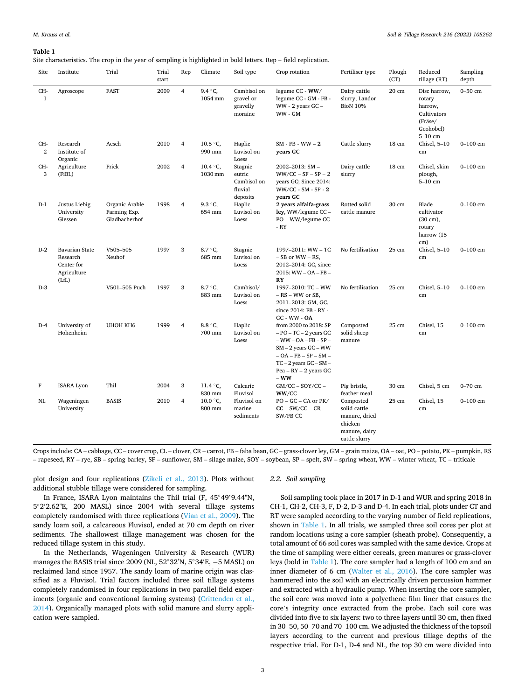Site characteristics. The crop in the year of sampling is highlighted in bold letters. Rep – field replication.

| Site                  | Institute                                                               | Trial                                           | Trial<br>start | Rep            | Climate                         | Soil type                                               | Crop rotation                                                                                                                                                                                        | Fertiliser type                                                                         | Plough<br>(CT)  | Reduced<br>tillage (RT)                                                               | Sampling<br>depth |
|-----------------------|-------------------------------------------------------------------------|-------------------------------------------------|----------------|----------------|---------------------------------|---------------------------------------------------------|------------------------------------------------------------------------------------------------------------------------------------------------------------------------------------------------------|-----------------------------------------------------------------------------------------|-----------------|---------------------------------------------------------------------------------------|-------------------|
| CH-<br>$\mathbf{1}$   | Agroscope                                                               | <b>FAST</b>                                     | 2009           | $\overline{4}$ | 9.4 °C.<br>1054 mm              | Cambisol on<br>gravel or<br>gravelly<br>moraine         | legume CC - WW/<br>legume CC - GM - FB -<br>$WW - 2$ years $GC -$<br>WW - GM                                                                                                                         | Dairy cattle<br>slurry, Landor<br><b>BioN 10%</b>                                       | $20 \text{ cm}$ | Disc harrow,<br>rotary<br>harrow,<br>Cultivators<br>(Fräse/<br>Geohobel)<br>$5-10$ cm | $0-50$ cm         |
| CH-<br>$\overline{2}$ | Research<br>Institute of<br>Organic                                     | Aesch                                           | 2010           | 4              | 10.5 °C<br>990 mm               | Haplic<br>Luvisol on<br>Loess                           | $SM$ - FB - WW $-2$<br>years GC                                                                                                                                                                      | Cattle slurry                                                                           | 18 cm           | Chisel, $5-10$<br>cm                                                                  | $0 - 100$ cm      |
| CH-<br>3              | Agriculture<br>(FiBL)                                                   | Frick                                           | 2002           | $\overline{4}$ | 10.4 $\,^{\circ}$ C,<br>1030 mm | Stagnic<br>eutric<br>Cambisol on<br>fluvial<br>deposits | $2002 - 2013$ : SM -<br>$WW/CC - SF - SP - 2$<br>years GC; Since 2014:<br>WW/CC - SM - SP - 2<br>vears GC                                                                                            | Dairy cattle<br>slurry                                                                  | 18 cm           | Chisel, skim<br>plough,<br>$5-10$ cm                                                  | $0 - 100$ cm      |
| $D-1$                 | Justus Liebig<br>University<br>Giessen                                  | Organic Arable<br>Farming Exp.<br>Gladbacherhof | 1998           | $\overline{4}$ | 9.3 °C,<br>654 mm               | Haplic<br>Luvisol on<br>Loess                           | 2 years alfalfa-grass<br>ley, $WW/legume CC -$<br>PO – WW/legume CC<br>- RY                                                                                                                          | Rotted solid<br>cattle manure                                                           | 30 cm           | Blade<br>cultivator<br>$(30 \text{ cm})$ ,<br>rotary<br>harrow (15<br>cm)             | $0 - 100$ cm      |
| $D-2$                 | <b>Bavarian State</b><br>Research<br>Center for<br>Agriculture<br>(LfL) | V505-505<br>Neuhof                              | 1997           | 3              | 8.7 °C.<br>685 mm               | Stagnic<br>Luvisol on<br>Loess                          | 1997-2011: WW - TC<br>$-$ SB or WW $-$ RS,<br>2012-2014: GC, since<br>2015: WW-OA-FB-<br><b>RY</b>                                                                                                   | No fertilisation                                                                        | 25 cm           | Chisel, $5-10$<br>cm                                                                  | $0 - 100$ cm      |
| $D-3$                 |                                                                         | V501-505 Puch                                   | 1997           | 3              | 8.7 °C.<br>883 mm               | Cambisol/<br>Luvisol on<br>Loess                        | 1997-2010: TC - WW<br>$- RS - WW$ or $SB$ ,<br>2011-2013: GM, GC,<br>since 2014: FB - RY -<br>GC - WW - OA                                                                                           | No fertilisation                                                                        | 25 cm           | Chisel, $5-10$<br>cm                                                                  | $0 - 100$ cm      |
| $D-4$                 | University of<br>Hohenheim                                              | <b>UHOH KH6</b>                                 | 1999           | 4              | 8.8 °C,<br>700 mm               | Haplic<br>Luvisol on<br>Loess                           | from 2000 to 2018: SP<br>$-$ PO $-$ TC $-$ 2 years GC<br>$-WW - OA - FB - SP -$<br>$SM - 2$ years $GC - WW$<br>$- OA - FB - SP - SM -$<br>$TC-2$ years $GC-SM-$<br>$Pea - RY - 2$ years GC<br>$-$ WW | Composted<br>solid sheep<br>manure                                                      | 25 cm           | Chisel, 15<br>cm                                                                      | $0 - 100$ cm      |
| $\mathbf F$           | <b>ISARA Lyon</b>                                                       | Thil                                            | 2004           | 3              | 11.4 °C.<br>830 mm              | Calcaric<br>Fluvisol                                    | $GM/CC - SOY/CC -$<br>WW/CC                                                                                                                                                                          | Pig bristle,<br>feather meal                                                            | 30 cm           | Chisel, 5 cm                                                                          | $0 - 70$ cm       |
| NL                    | Wageningen<br>University                                                | <b>BASIS</b>                                    | 2010           | 4              | $10.0 \degree C,$<br>800 mm     | Fluvisol on<br>marine<br>sediments                      | $PO - GC - CA$ or $PK/$<br>$CC - SW/CC - CR -$<br>SW/FB CC                                                                                                                                           | Composted<br>solid cattle<br>manure, dried<br>chicken<br>manure, dairy<br>cattle slurry | 25 cm           | Chisel, 15<br>cm                                                                      | $0 - 100$ cm      |

Crops include: CA – cabbage, CC – cover crop, CL – clover, CR – carrot, FB – faba bean, GC – grass-clover ley, GM – grain maize, OA – oat, PO – potato, PK – pumpkin, RS – rapeseed, RY – rye, SB – spring barley, SF – sunflower, SM – silage maize, SOY – soybean, SP – spelt, SW – spring wheat, WW – winter wheat, TC – triticale

plot design and four replications (Zikeli et al., 2013). Plots without additional stubble tillage were considered for sampling.

In France, ISARA Lyon maintains the Thil trial (F, 45◦49'9.44"N, 5◦2′ 2.62"E, 200 MASL) since 2004 with several tillage systems completely randomised with three replications (Vian et al., 2009). The sandy loam soil, a calcareous Fluvisol, ended at 70 cm depth on river sediments. The shallowest tillage management was chosen for the reduced tillage system in this study.

In the Netherlands, Wageningen University & Research (WUR) manages the BASIS trial since 2009 (NL, 52°32′N, 5°34′E, -5 MASL) on reclaimed land since 1957. The sandy loam of marine origin was classified as a Fluvisol. Trial factors included three soil tillage systems completely randomised in four replications in two parallel field experiments (organic and conventional farming systems) (Crittenden et al., 2014). Organically managed plots with solid manure and slurry application were sampled.

#### *2.2. Soil sampling*

Soil sampling took place in 2017 in D-1 and WUR and spring 2018 in CH-1, CH-2, CH-3, F, D-2, D-3 and D-4. In each trial, plots under CT and RT were sampled according to the varying number of field replications, shown in Table 1. In all trials, we sampled three soil cores per plot at random locations using a core sampler (sheath probe). Consequently, a total amount of 66 soil cores was sampled with the same device. Crops at the time of sampling were either cereals, green manures or grass-clover leys (bold in Table 1). The core sampler had a length of 100 cm and an inner diameter of 6 cm (Walter et al., 2016). The core sampler was hammered into the soil with an electrically driven percussion hammer and extracted with a hydraulic pump. When inserting the core sampler, the soil core was moved into a polyethene film liner that ensures the core's integrity once extracted from the probe. Each soil core was divided into five to six layers: two to three layers until 30 cm, then fixed in 30–50, 50–70 and 70–100 cm. We adjusted the thickness of the topsoil layers according to the current and previous tillage depths of the respective trial. For D-1, D-4 and NL, the top 30 cm were divided into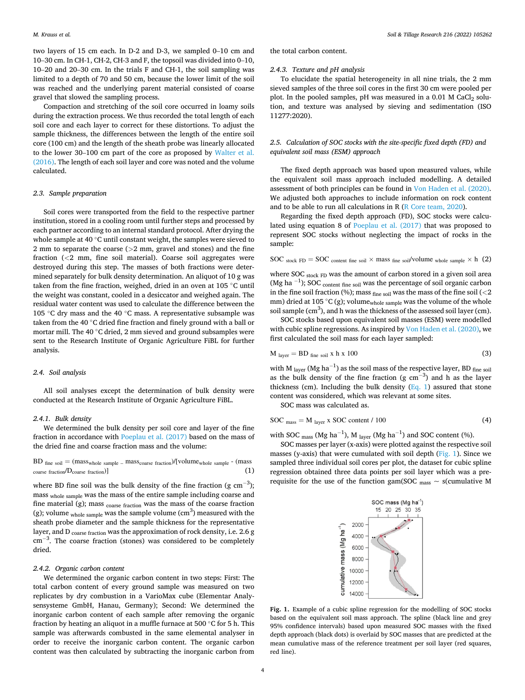two layers of 15 cm each. In D-2 and D-3, we sampled 0–10 cm and 10–30 cm. In CH-1, CH-2, CH-3 and F, the topsoil was divided into 0–10, 10–20 and 20–30 cm. In the trials F and CH-1, the soil sampling was limited to a depth of 70 and 50 cm, because the lower limit of the soil was reached and the underlying parent material consisted of coarse gravel that slowed the sampling process.

Compaction and stretching of the soil core occurred in loamy soils during the extraction process. We thus recorded the total length of each soil core and each layer to correct for these distortions. To adjust the sample thickness, the differences between the length of the entire soil core (100 cm) and the length of the sheath probe was linearly allocated to the lower 30–100 cm part of the core as proposed by Walter et al. (2016). The length of each soil layer and core was noted and the volume calculated.

# *2.3. Sample preparation*

Soil cores were transported from the field to the respective partner institution, stored in a cooling room until further steps and processed by each partner according to an internal standard protocol. After drying the whole sample at 40 ◦C until constant weight, the samples were sieved to 2 mm to separate the coarse (*>*2 mm, gravel and stones) and the fine fraction (*<*2 mm, fine soil material). Coarse soil aggregates were destroyed during this step. The masses of both fractions were determined separately for bulk density determination. An aliquot of 10 g was taken from the fine fraction, weighed, dried in an oven at 105 ◦C until the weight was constant, cooled in a desiccator and weighed again. The residual water content was used to calculate the difference between the 105 ◦C dry mass and the 40 ◦C mass. A representative subsample was taken from the 40 ℃ dried fine fraction and finely ground with a ball or mortar mill. The 40 ◦C dried, 2 mm sieved and ground subsamples were sent to the Research Institute of Organic Agriculture FiBL for further analysis.

#### *2.4. Soil analysis*

All soil analyses except the determination of bulk density were conducted at the Research Institute of Organic Agriculture FiBL.

#### *2.4.1. Bulk density*

We determined the bulk density per soil core and layer of the fine fraction in accordance with Poeplau et al. (2017) based on the mass of the dried fine and coarse fraction mass and the volume:

 $BD$  fine soil  $=$  (mass<sub>whole sample –</sub> mass<sub>coarse fraction</sub>)/[volume<sub>whole sample</sub> – (mass  $\text{coarse fraction} / \text{D}_{\text{coarse fraction}}$  (1)

where BD fine soil was the bulk density of the fine fraction (g  $cm^{-3}$ ); mass whole sample was the mass of the entire sample including coarse and fine material (g); mass  $_{\rm coarse\ fraction}$  was the mass of the coarse fraction (g); volume <sub>whole sample</sub> was the sample volume ( $\text{cm}^3$ ) measured with the sheath probe diameter and the sample thickness for the representative layer, and D coarse fraction was the approximation of rock density, i.e. 2.6 g cm<sup>-3</sup>. The coarse fraction (stones) was considered to be completely dried.

## *2.4.2. Organic carbon content*

We determined the organic carbon content in two steps: First: The total carbon content of every ground sample was measured on two replicates by dry combustion in a VarioMax cube (Elementar Analysensysteme GmbH, Hanau, Germany); Second: We determined the inorganic carbon content of each sample after removing the organic fraction by heating an aliquot in a muffle furnace at 500  $\degree$ C for 5 h. This sample was afterwards combusted in the same elemental analyser in order to receive the inorganic carbon content. The organic carbon content was then calculated by subtracting the inorganic carbon from

the total carbon content.

# *2.4.3. Texture and pH analysis*

To elucidate the spatial heterogeneity in all nine trials, the 2 mm sieved samples of the three soil cores in the first 30 cm were pooled per plot. In the pooled samples, pH was measured in a  $0.01$  M CaCl<sub>2</sub> solution, and texture was analysed by sieving and sedimentation (ISO 11277:2020).

# *2.5. Calculation of SOC stocks with the site-specific fixed depth (FD) and equivalent soil mass (ESM) approach*

The fixed depth approach was based upon measured values, while the equivalent soil mass approach included modelling. A detailed assessment of both principles can be found in Von Haden et al. (2020). We adjusted both approaches to include information on rock content and to be able to run all calculations in R (R Core team, 2020).

Regarding the fixed depth approach (FD), SOC stocks were calculated using equation 8 of Poeplau et al. (2017) that was proposed to represent SOC stocks without neglecting the impact of rocks in the sample:

SOC stock FD = SOC content fine soil  $\times$  mass fine soil/volume whole sample  $\times$  h (2)

where SOC stock FD was the amount of carbon stored in a given soil area (Mg ha $^{-1}$ ); SOC  $_{\rm content\ fine\ soil}$  was the percentage of soil organic carbon in the fine soil fraction (%); mass  $_{\rm fine\,soil}$  was the mass of the fine soil (  $<$  2 mm) dried at 105  $^{\circ} \text{C}$  (g); volume  $_{\text{whole sample}}$  was the volume of the whole soil sample  $(cm<sup>3</sup>)$ , and h was the thickness of the assessed soil layer (cm).

SOC stocks based upon equivalent soil masses (ESM) were modelled with cubic spline regressions. As inspired by Von Haden et al. (2020), we first calculated the soil mass for each layer sampled:

$$
Mlayer = BDfine soil x h x 100
$$
 (3)

with M  $_{\text{layer}}$  (Mg ha<sup>-1</sup>) as the soil mass of the respective layer, BD  $_{\text{fine soil}}$ as the bulk density of the fine fraction (g  $cm^{-3}$ ) and h as the layer thickness (cm). Including the bulk density (Eq. 1) assured that stone content was considered, which was relevant at some sites.

SOC mass was calculated as.

$$
SOC_{mass} = M_{layer} x SOC content / 100
$$
 (4)

with SOC  $_{\text{mass}}$  (Mg ha<sup>-1</sup>), M <sub>layer</sub> (Mg ha<sup>-1</sup>) and SOC content (%).

SOC masses per layer (x-axis) were plotted against the respective soil masses (y-axis) that were cumulated with soil depth  $(Fig. 1)$ . Since we sampled three individual soil cores per plot, the dataset for cubic spline regression obtained three data points per soil layer which was a prerequisite for the use of the function gam(SOC  $_{\rm mass} \sim$  s(cumulative M



**Fig. 1.** Example of a cubic spline regression for the modelling of SOC stocks based on the equivalent soil mass approach. The spline (black line and grey 95% confidence intervals) based upon measured SOC masses with the fixed depth approach (black dots) is overlaid by SOC masses that are predicted at the mean cumulative mass of the reference treatment per soil layer (red squares, red line).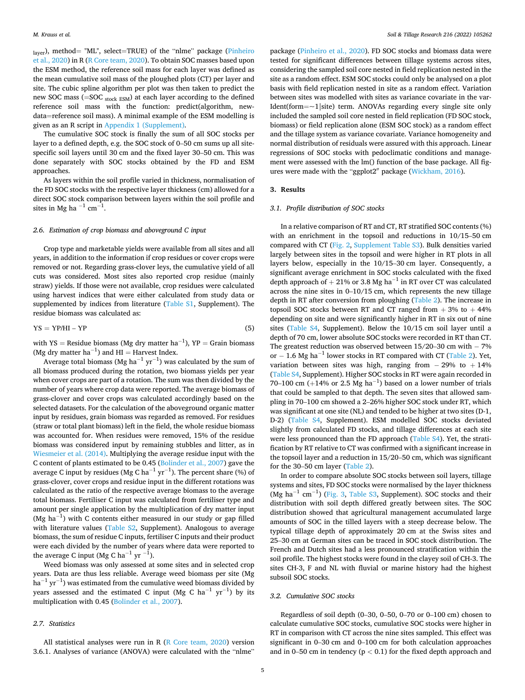layer), method= "ML", select=TRUE) of the "nlme" package (Pinheiro et al., 2020) in R (R Core team, 2020). To obtain SOC masses based upon the ESM method, the reference soil mass for each layer was defined as the mean cumulative soil mass of the ploughed plots (CT) per layer and site. The cubic spline algorithm per plot was then taken to predict the new SOC mass  $(=$  SOC stock  $ESM$ ) at each layer according to the defined reference soil mass with the function: predict(algorithm, newdata=reference soil mass). A minimal example of the ESM modelling is given as an R script in Appendix 1 (Supplement).

The cumulative SOC stock is finally the sum of all SOC stocks per layer to a defined depth, e.g. the SOC stock of 0–50 cm sums up all sitespecific soil layers until 30 cm and the fixed layer 30–50 cm. This was done separately with SOC stocks obtained by the FD and ESM approaches.

As layers within the soil profile varied in thickness, normalisation of the FD SOC stocks with the respective layer thickness (cm) allowed for a direct SOC stock comparison between layers within the soil profile and sites in Mg ha  $^{-1}$  cm $^{-1}$ .

#### *2.6. Estimation of crop biomass and aboveground C input*

Crop type and marketable yields were available from all sites and all years, in addition to the information if crop residues or cover crops were removed or not. Regarding grass-clover leys, the cumulative yield of all cuts was considered. Most sites also reported crop residue (mainly straw) yields. If those were not available, crop residues were calculated using harvest indices that were either calculated from study data or supplemented by indices from literature (Table S1, Supplement). The residue biomass was calculated as:

$$
YS = YP/HI - YP \tag{5}
$$

with YS = Residue biomass (Mg dry matter ha<sup>-1</sup>), YP = Grain biomass (Mg dry matter  $ha^{-1}$ ) and HI = Harvest Index.

Average total biomass (Mg ha $^{-1}$  yr $^{-1}$ ) was calculated by the sum of all biomass produced during the rotation, two biomass yields per year when cover crops are part of a rotation. The sum was then divided by the number of years where crop data were reported. The average biomass of grass-clover and cover crops was calculated accordingly based on the selected datasets. For the calculation of the aboveground organic matter input by residues, grain biomass was regarded as removed. For residues (straw or total plant biomass) left in the field, the whole residue biomass was accounted for. When residues were removed, 15% of the residue biomass was considered input by remaining stubbles and litter, as in Wiesmeier et al. (2014). Multiplying the average residue input with the C content of plants estimated to be 0.45 (Bolinder et al., 2007) gave the average C input by residues (Mg C ha $^{-1}$  yr $^{-1}$ ). The percent share (%) of grass-clover, cover crops and residue input in the different rotations was calculated as the ratio of the respective average biomass to the average total biomass. Fertiliser C input was calculated from fertiliser type and amount per single application by the multiplication of dry matter input (Mg ha<sup>-1</sup>) with C contents either measured in our study or gap filled with literature values (Table S2, Supplement). Analogous to average biomass, the sum of residue C inputs, fertiliser C inputs and their product were each divided by the number of years where data were reported to the average C input (Mg C ha $^{-1}$  yr  $^{-1}$ ).

Weed biomass was only assessed at some sites and in selected crop years. Data are thus less reliable. Average weed biomass per site (Mg ha $^{-1}$  yr $^{-1}$ ) was estimated from the cumulative weed biomass divided by years assessed and the estimated C input (Mg C ha $^{-1}$  yr $^{-1}$ ) by its multiplication with 0.45 (Bolinder et al., 2007).

# *2.7. Statistics*

All statistical analyses were run in R (R Core team, 2020) version 3.6.1. Analyses of variance (ANOVA) were calculated with the "nlme"

package (Pinheiro et al., 2020). FD SOC stocks and biomass data were tested for significant differences between tillage systems across sites, considering the sampled soil core nested in field replication nested in the site as a random effect. ESM SOC stocks could only be analysed on a plot basis with field replication nested in site as a random effect. Variation between sites was modelled with sites as variance covariate in the var-Ident(form= $\sim$ 1|site) term. ANOVAs regarding every single site only included the sampled soil core nested in field replication (FD SOC stock, biomass) or field replication alone (ESM SOC stock) as a random effect and the tillage system as variance covariate. Variance homogeneity and normal distribution of residuals were assured with this approach. Linear regressions of SOC stocks with pedoclimatic conditions and management were assessed with the lm() function of the base package. All figures were made with the "ggplot2" package (Wickham, 2016).

# **3. Results**

# *3.1. Profile distribution of SOC stocks*

In a relative comparison of RT and CT, RT stratified SOC contents (%) with an enrichment in the topsoil and reductions in 10/15–50 cm compared with CT (Fig. 2, Supplement Table S3). Bulk densities varied largely between sites in the topsoil and were higher in RT plots in all layers below, especially in the 10/15–30 cm layer. Consequently, a significant average enrichment in SOC stocks calculated with the fixed depth approach of  $+ 21\%$  or 3.8 Mg ha<sup>-1</sup> in RT over CT was calculated across the nine sites in 0–10/15 cm, which represents the new tillage depth in RT after conversion from ploughing (Table 2). The increase in topsoil SOC stocks between RT and CT ranged from  $+3\%$  to  $+44\%$ depending on site and were significantly higher in RT in six out of nine sites (Table S4, Supplement). Below the 10/15 cm soil layer until a depth of 70 cm, lower absolute SOC stocks were recorded in RT than CT. The greatest reduction was observed between 15/20–30 cm with − 7% or − 1.6 Mg ha<sup>-1</sup> lower stocks in RT compared with CT (Table 2). Yet, variation between sites was high, ranging from  $-29\%$  to  $+14\%$ (Table S4, Supplement). Higher SOC stocks in RT were again recorded in 70–100 cm (+14% or 2.5 Mg ha<sup>-1</sup>) based on a lower number of trials that could be sampled to that depth. The seven sites that allowed sampling in 70–100 cm showed a 2–26% higher SOC stock under RT, which was significant at one site (NL) and tended to be higher at two sites (D-1, D-2) (Table S4, Supplement). ESM modelled SOC stocks deviated slightly from calculated FD stocks, and tillage differences at each site were less pronounced than the FD approach (Table S4). Yet, the stratification by RT relative to CT was confirmed with a significant increase in the topsoil layer and a reduction in 15/20–50 cm, which was significant for the 30–50 cm layer (Table 2).

In order to compare absolute SOC stocks between soil layers, tillage systems and sites, FD SOC stocks were normalised by the layer thickness (Mg ha<sup>-1</sup> cm<sup>-1</sup>) (Fig. 3, Table S3, Supplement). SOC stocks and their distribution with soil depth differed greatly between sites. The SOC distribution showed that agricultural management accumulated large amounts of SOC in the tilled layers with a steep decrease below. The typical tillage depth of approximately 20 cm at the Swiss sites and 25–30 cm at German sites can be traced in SOC stock distribution. The French and Dutch sites had a less pronounced stratification within the soil profile. The highest stocks were found in the clayey soil of CH-3. The sites CH-3, F and NL with fluvial or marine history had the highest subsoil SOC stocks.

# *3.2. Cumulative SOC stocks*

Regardless of soil depth (0–30, 0–50, 0–70 or 0–100 cm) chosen to calculate cumulative SOC stocks, cumulative SOC stocks were higher in RT in comparison with CT across the nine sites sampled. This effect was significant in 0–30 cm and 0–100 cm for both calculation approaches and in 0–50 cm in tendency (p *<* 0.1) for the fixed depth approach and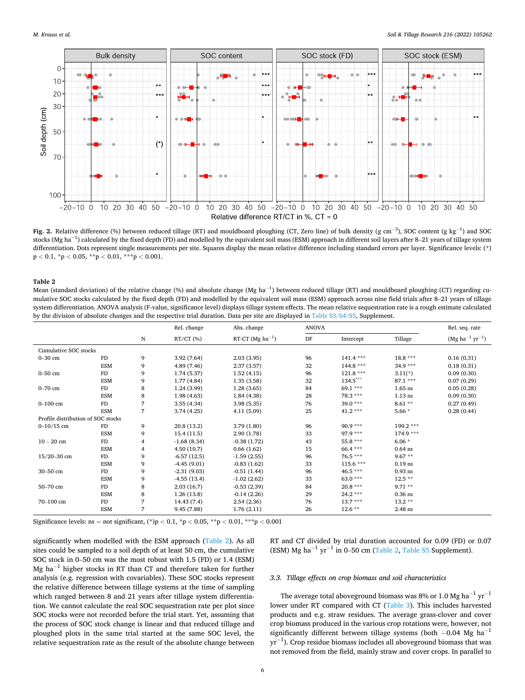

**Fig. 2.** Relative difference (%) between reduced tillage (RT) and mouldboard ploughing (CT, Zero line) of bulk density (g cm<sup>−3</sup>), SOC content (g kg<sup>−1</sup>) and SOC stocks (Mg ha $^{-1}$ ) calculated by the fixed depth (FD) and modelled by the equivalent soil mass (ESM) approach in different soil layers after 8–21 years of tillage system differentiation. Dots represent single measurements per site. Squares display the mean relative difference including standard errors per layer. Significance levels: (\*) p *<* 0.1, \*p *<* 0.05, \*\*p *<* 0.01, \*\*\*p *<* 0.001.

Mean (standard deviation) of the relative change (%) and absolute change (Mg ha<sup>-1</sup>) between reduced tillage (RT) and mouldboard ploughing (CT) regarding cumulative SOC stocks calculated by the fixed depth (FD) and modelled by the equivalent soil mass (ESM) approach across nine field trials after 8–21 years of tillage system differentiation. ANOVA analysis (F-value, significance level) displays tillage system effects. The mean relative sequestration rate is a rough estimate calculated by the division of absolute changes and the respective trial duration. Data per site are displayed in Table S3/S4/S5, Supplement.

|                                    |            |   | Rel. change   | Abs. change           | <b>ANOVA</b> |            |            | Rel. seq. rate               |
|------------------------------------|------------|---|---------------|-----------------------|--------------|------------|------------|------------------------------|
|                                    |            | N | $RT/CT$ (%)   | RT-CT (Mg $ha^{-1}$ ) | DF           | Intercept  | Tillage    | $(Mg \, ha^{-1} \, yr^{-1})$ |
| Cumulative SOC stocks              |            |   |               |                       |              |            |            |                              |
| $0-30$ cm                          | FD         | 9 | 3.92(7.64)    | 2.03(3.95)            | 96           | $141.4***$ | $18.8***$  | 0.16(0.31)                   |
|                                    | <b>ESM</b> | 9 | 4.89 (7.46)   | 2.37(3.57)            | 32           | 144.8 ***  | $34.9***$  | 0.18(0.31)                   |
| $0-50$ cm                          | FD         | 9 | 1.74(5.37)    | 1.52(4.15)            | 96           | $121.8***$ | $3.11(*)$  | 0.09(0.30)                   |
|                                    | ESM        | 9 | 1.77(4.84)    | 1.35(3.58)            | 32           | 134.5***   | $87.1***$  | 0.07(0.29)                   |
| $0-70$ cm                          | FD.        | 8 | 1.24(3.99)    | 1.28(3.65)            | 84           | $69.1***$  | $1.65$ ns  | 0.05(0.28)                   |
|                                    | ESM        | 8 | 1.98(4.63)    | 1.84(4.38)            | 28           | 78.3 ***   | $1.13$ ns  | 0.09(0.30)                   |
| $0 - 100$ cm                       | FD.        | 7 | 3.55(4.34)    | 3.98(5.35)            | 76           | $39.0***$  | $8.61**$   | 0.27(0.49)                   |
|                                    | <b>ESM</b> | 7 | 3.74(4.25)    | 4.11(5.09)            | 25           | $41.2***$  | $5.66*$    | 0.28(0.44)                   |
| Profile distribution of SOC stocks |            |   |               |                       |              |            |            |                              |
| $0 - 10/15$ cm                     | FD         | 9 | 20.8 (13.2)   | 3.79(1.80)            | 96           | $90.9***$  | 199.2 ***  |                              |
|                                    | <b>ESM</b> | 9 | 15.4(11.5)    | 2.90(1.78)            | 33           | 97.9 ***   | $174.9***$ |                              |
| $10 - 20$ cm                       | FD         | 4 | $-1.68(8.34)$ | $-0.38(1.72)$         | 43           | 55.8 ***   | $6.06*$    |                              |
|                                    | <b>ESM</b> | 4 | 4.50(10.7)    | 0.66(1.62)            | 15           | 66.4 ***   | $0.64$ ns  |                              |
| $15/20 - 30$ cm                    | FD.        | 9 | $-6.57(12.5)$ | $-1.59(2.55)$         | 96           | $76.5***$  | $9.67**$   |                              |
|                                    | <b>ESM</b> | 9 | $-4.45(9.01)$ | $-0.83(1.62)$         | 33           | $115.6***$ | $0.19$ ns  |                              |
| 30-50 cm                           | FD         | 9 | $-2.31(9.03)$ | $-0.51(1.44)$         | 96           | 46.5 ***   | $0.93$ ns  |                              |
|                                    | ESM        | 9 | $-4.55(13.4)$ | $-1.02(2.62)$         | 33           | 63.0 ***   | $12.5**$   |                              |
| 50-70 cm                           | FD         | 8 | 2.03(16.7)    | $-0.53(2.39)$         | 84           | $20.8***$  | $9.71**$   |                              |
|                                    | ESM        | 8 | 1.26(13.8)    | $-0.14(2.26)$         | 29           | $24.2***$  | $0.36$ ns  |                              |
| 70-100 cm                          | FD         | 7 | 14.43 (7.4)   | 2.54(2.36)            | 76           | $13.7***$  | $13.2**$   |                              |
|                                    | ESM        | 7 | 9.45(7.88)    | 1.76(2.11)            | 26           | $12.6**$   | $2.48$ ns  |                              |

Significance levels: ns = not significant, (\*)p *<* 0.1, \*p *<* 0.05, \*\*p *<* 0.01, \*\*\*p *<* 0.001

significantly when modelled with the ESM approach (Table 2). As all sites could be sampled to a soil depth of at least 50 cm, the cumulative SOC stock in 0–50 cm was the most robust with 1.5 (FD) or 1.4 (ESM) Mg ha<sup>-1</sup> higher stocks in RT than CT and therefore taken for further analysis (e.g. regression with covariables). These SOC stocks represent the relative difference between tillage systems at the time of sampling which ranged between 8 and 21 years after tillage system differentiation. We cannot calculate the real SOC sequestration rate per plot since SOC stocks were not recorded before the trial start. Yet, assuming that the process of SOC stock change is linear and that reduced tillage and ploughed plots in the same trial started at the same SOC level, the relative sequestration rate as the result of the absolute change between

RT and CT divided by trial duration accounted for 0.09 (FD) or 0.07 (ESM) Mg ha<sup>-1</sup> yr<sup>-1</sup> in 0–50 cm (Table 2, Table S5 Supplement).

#### *3.3. Tillage effects on crop biomass and soil characteristics*

The average total aboveground biomass was 8% or 1.0 Mg ha<sup>-1</sup> yr<sup>-1</sup> lower under RT compared with CT (Table 3). This includes harvested products and e.g. straw residues. The average grass-clover and cover crop biomass produced in the various crop rotations were, however, not significantly different between tillage systems (both  $-0.04$  Mg ha<sup>-1</sup>  $yr^{-1}$ ). Crop residue biomass includes all aboveground biomass that was not removed from the field, mainly straw and cover crops. In parallel to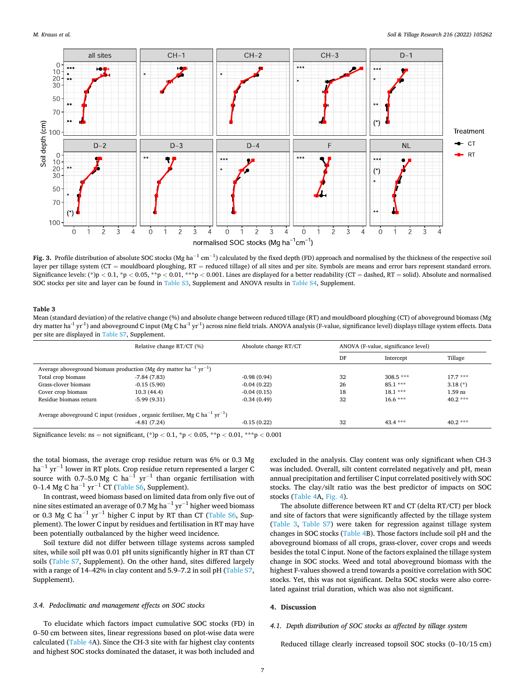

**Fig. 3.** Profile distribution of absolute SOC stocks (Mg ha $^{-1}$  cm $^{-1}$ ) calculated by the fixed depth (FD) approach and normalised by the thickness of the respective soil layer per tillage system (CT = mouldboard ploughing, RT = reduced tillage) of all sites and per site. Symbols are means and error bars represent standard errors. Significance levels: (\*)p < 0.1, \*p < 0.05, \*\*p < 0.01, \*\*\*p < 0.001. Lines are displayed for a better readability (CT = dashed, RT = solid). Absolute and normalised SOC stocks per site and layer can be found in Table S3, Supplement and ANOVA results in Table S4, Supplement.

Mean (standard deviation) of the relative change (%) and absolute change between reduced tillage (RT) and mouldboard ploughing (CT) of aboveground biomass (Mg dry matter ha<sup>-1</sup> yr<sup>-1</sup>) and aboveground C input (Mg C ha<sup>-1</sup> yr<sup>-1</sup>) across nine field trials. ANOVA analysis (F-value, significance level) displays tillage system effects. Data per site are displayed in Table S7, Supplement.

|                                                                                              | Relative change RT/CT (%) | Absolute change RT/CT |    | ANOVA (F-value, significance level) |           |  |  |  |
|----------------------------------------------------------------------------------------------|---------------------------|-----------------------|----|-------------------------------------|-----------|--|--|--|
|                                                                                              |                           |                       | DF | Intercept                           | Tillage   |  |  |  |
| Average aboveground biomass production (Mg dry matter ha <sup>-1</sup> yr <sup>-1</sup> )    |                           |                       |    |                                     |           |  |  |  |
| Total crop biomass                                                                           | $-7.84(7.83)$             | $-0.98(0.94)$         | 32 | $308.5***$                          | $17.7***$ |  |  |  |
| Grass-clover biomass                                                                         | $-0.15(5.90)$             | $-0.04(0.22)$         | 26 | $85.1***$                           | $3.18(*)$ |  |  |  |
| Cover crop biomass                                                                           | 10.3(44.4)                | $-0.04(0.15)$         | 18 | $18.1***$                           | $1.59$ ns |  |  |  |
| Residue biomass return                                                                       | $-5.99(9.31)$             | $-0.34(0.49)$         | 32 | $16.6***$                           | $40.2***$ |  |  |  |
| Average aboveground C input (residues, organic fertiliser, Mg C ha <sup>-1</sup> $yr^{-1}$ ) |                           |                       |    |                                     |           |  |  |  |
|                                                                                              | $-4.81(7.24)$             | $-0.15(0.22)$         | 32 | $43.4***$                           | $40.2***$ |  |  |  |
|                                                                                              |                           |                       |    |                                     |           |  |  |  |

Significance levels: ns = not significant, (\*)p *<* 0.1, \*p *<* 0.05, \*\*p *<* 0.01, \*\*\*p *<* 0.001

the total biomass, the average crop residue return was 6% or 0.3 Mg  $ha^{-1} yr^{-1}$  lower in RT plots. Crop residue return represented a larger C source with 0.7–5.0 Mg C ha<sup>-1</sup>  $yr^{-1}$  than organic fertilisation with 0–1.4 Mg C ha<sup>-1</sup> yr<sup>-1</sup> CT (Table S6, Supplement).

In contrast, weed biomass based on limited data from only five out of nine sites estimated an average of 0.7 Mg ha<sup> $-1$ </sup> yr<sup> $-1$ </sup> higher weed biomass or 0.3 Mg C ha<sup>-1</sup> yr<sup>-1</sup> higher C input by RT than CT (Table S6, Supplement). The lower C input by residues and fertilisation in RT may have been potentially outbalanced by the higher weed incidence.

Soil texture did not differ between tillage systems across sampled sites, while soil pH was 0.01 pH units significantly higher in RT than CT soils (Table S7, Supplement). On the other hand, sites differed largely with a range of 14–42% in clay content and 5.9–7.2 in soil pH (Table S7, Supplement).

# *3.4. Pedoclimatic and management effects on SOC stocks*

To elucidate which factors impact cumulative SOC stocks (FD) in 0–50 cm between sites, linear regressions based on plot-wise data were calculated (Table 4A). Since the CH-3 site with far highest clay contents and highest SOC stocks dominated the dataset, it was both included and

excluded in the analysis. Clay content was only significant when CH-3 was included. Overall, silt content correlated negatively and pH, mean annual precipitation and fertiliser C input correlated positively with SOC stocks. The clay/silt ratio was the best predictor of impacts on SOC stocks (Table 4A, Fig. 4).

The absolute difference between RT and CT (delta RT/CT) per block and site of factors that were significantly affected by the tillage system (Table 3, Table S7) were taken for regression against tillage system changes in SOC stocks (Table 4B). Those factors include soil pH and the aboveground biomass of all crops, grass-clover, cover crops and weeds besides the total C input. None of the factors explained the tillage system change in SOC stocks. Weed and total aboveground biomass with the highest F-values showed a trend towards a positive correlation with SOC stocks. Yet, this was not significant. Delta SOC stocks were also correlated against trial duration, which was also not significant.

#### **4. Discussion**

# *4.1. Depth distribution of SOC stocks as affected by tillage system*

Reduced tillage clearly increased topsoil SOC stocks (0–10/15 cm)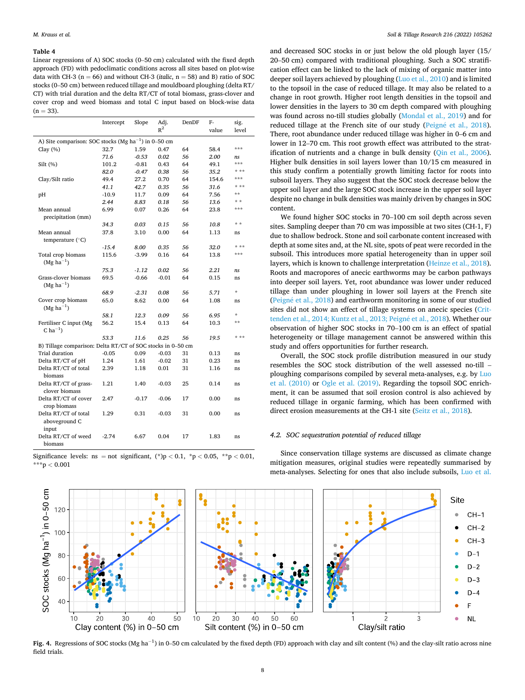Linear regressions of A) SOC stocks (0–50 cm) calculated with the fixed depth approach (FD) with pedoclimatic conditions across all sites based on plot-wise data with CH-3 ( $n = 66$ ) and without CH-3 (*italic*,  $n = 58$ ) and B) ratio of SOC stocks (0–50 cm) between reduced tillage and mouldboard ploughing (delta RT/ CT) with trial duration and the delta RT/CT of total biomass, grass-clover and cover crop and weed biomass and total C input based on block-wise data  $(n = 33)$ .

|                                                             | Intercept | Slope   | Adj.    | DenDF | F-    | sig.    |  |
|-------------------------------------------------------------|-----------|---------|---------|-------|-------|---------|--|
|                                                             |           |         | $R^2$   |       | value | level   |  |
| A) Site comparison: SOC stocks (Mg $ha^{-1}$ ) in 0–50 cm   |           |         |         |       |       |         |  |
| Clay $(\%)$                                                 | 32.7      | 1.59    | 0.47    | 64    | 58.4  | ***     |  |
|                                                             | 71.6      | $-0.53$ | 0.02    | 56    | 2.00  | ns      |  |
| Silt (%)                                                    | 101.2     | $-0.81$ | 0.43    | 64    | 49.1  | ***     |  |
|                                                             | 82.0      | $-0.47$ | 0.38    | 56    | 35.2  | * **    |  |
| Clay/Silt ratio                                             | 49.4      | 27.2    | 0.70    | 64    | 154.6 | ***     |  |
|                                                             | 41.1      | 42.7    | 0.35    | 56    | 31.6  | * **    |  |
| pH                                                          | $-10.9$   | 11.7    | 0.09    | 64    | 7.56  | **      |  |
|                                                             | 2.44      | 8.83    | 0.18    | 56    | 13.6  | * *     |  |
| Mean annual                                                 | 6.99      | 0.07    | 0.26    | 64    | 23.8  | ***     |  |
| precipitation (mm)                                          |           |         |         |       |       |         |  |
|                                                             | 34.3      | 0.03    | 0.15    | 56    | 10.8  | * *     |  |
| Mean annual                                                 | 37.8      | 3.10    | 0.00    | 64    | 1.13  | ns      |  |
| temperature $(^{\circ}C)$                                   |           |         |         |       |       |         |  |
|                                                             | $-15.4$   | 8.00    | 0.35    | 56    | 32.0  | * **    |  |
| Total crop biomass                                          | 115.6     | $-3.99$ | 0.16    | 64    | 13.8  | ***     |  |
| $(Mg ha^{-1})$                                              |           |         |         |       |       |         |  |
|                                                             | 75.3      | $-1.12$ | 0.02    | 56    | 2.21  | ns      |  |
| Grass-clover biomass                                        | 69.5      | $-0.66$ | $-0.01$ | 64    | 0.15  | ns      |  |
| $(Mg ha^{-1})$                                              |           |         |         |       |       |         |  |
|                                                             | 68.9      | $-2.31$ | 0.08    | 56    | 5.71  | ÷       |  |
| Cover crop biomass                                          | 65.0      | 8.62    | 0.00    | 64    | 1.08  | ns      |  |
| $(Mg ha^{-1})$                                              |           |         |         |       |       |         |  |
|                                                             | 58.1      | 12.3    | 0.09    | 56    | 6.95  | $\star$ |  |
| Fertiliser C input (Mg                                      | 56.2      | 15.4    | 0.13    | 64    | 10.3  | **      |  |
| C ha <sup><math>-1</math></sup> )                           |           |         |         |       |       |         |  |
|                                                             | 53.3      | 11.6    | 0.25    | 56    | 19.5  | * **    |  |
| B) Tillage comparison: Delta RT/CT of SOC stocks in 0-50 cm |           |         |         |       |       |         |  |
| Trial duration                                              | $-0.05$   | 0.09    | $-0.03$ | 31    | 0.13  | ns      |  |
| Delta RT/CT of pH                                           | 1.24      | 1.61    | $-0.02$ | 31    | 0.23  | ns      |  |
| Delta RT/CT of total                                        | 2.39      | 1.18    | 0.01    | 31    | 1.16  | ns      |  |
| biomass                                                     |           |         |         |       |       |         |  |
| Delta RT/CT of grass-                                       | 1.21      | 1.40    | $-0.03$ | 25    | 0.14  | ns      |  |
| clover biomass                                              |           |         |         |       |       |         |  |
| Delta RT/CT of cover                                        | 2.47      | $-0.17$ | $-0.06$ | 17    | 0.00  | ns      |  |
| crop biomass                                                |           |         |         |       |       |         |  |
| Delta RT/CT of total                                        | 1.29      | 0.31    | $-0.03$ | 31    | 0.00  | ns      |  |
| aboveground C                                               |           |         |         |       |       |         |  |
| input                                                       |           |         |         |       |       |         |  |
| Delta RT/CT of weed                                         | $-2.74$   | 6.67    | 0.04    | 17    | 1.83  | ns      |  |
| biomass                                                     |           |         |         |       |       |         |  |

Significance levels: ns = not significant, (\*)p *<* 0.1, \*p *<* 0.05, \*\*p *<* 0.01, \*\*\*p *<* 0.001

and decreased SOC stocks in or just below the old plough layer (15/ 20–50 cm) compared with traditional ploughing. Such a SOC stratification effect can be linked to the lack of mixing of organic matter into deeper soil layers achieved by ploughing (Luo et al., 2010) and is limited to the topsoil in the case of reduced tillage. It may also be related to a change in root growth. Higher root length densities in the topsoil and lower densities in the layers to 30 cm depth compared with ploughing was found across no-till studies globally (Mondal et al., 2019) and for reduced tillage at the French site of our study (Peigné et al., 2018). There, root abundance under reduced tillage was higher in 0–6 cm and lower in 12–70 cm. This root growth effect was attributed to the stratification of nutrients and a change in bulk density (Qin et al., 2006). Higher bulk densities in soil layers lower than 10/15 cm measured in this study confirm a potentially growth limiting factor for roots into subsoil layers. They also suggest that the SOC stock decrease below the upper soil layer and the large SOC stock increase in the upper soil layer despite no change in bulk densities was mainly driven by changes in SOC content.

We found higher SOC stocks in 70–100 cm soil depth across seven sites. Sampling deeper than 70 cm was impossible at two sites (CH-1, F) due to shallow bedrock. Stone and soil carbonate content increased with depth at some sites and, at the NL site, spots of peat were recorded in the subsoil. This introduces more spatial heterogeneity than in upper soil layers, which is known to challenge interpretation (Heinze et al., 2018). Roots and macropores of anecic earthworms may be carbon pathways into deeper soil layers. Yet, root abundance was lower under reduced tillage than under ploughing in lower soil layers at the French site (Peigné et al., 2018) and earthworm monitoring in some of our studied sites did not show an effect of tillage systems on anecic species (Crittenden et al., 2014; Kuntz et al., 2013; Peigné et al., 2018). Whether our observation of higher SOC stocks in 70–100 cm is an effect of spatial heterogeneity or tillage management cannot be answered within this study and offers opportunities for further research.

Overall, the SOC stock profile distribution measured in our study resembles the SOC stock distribution of the well assessed no-till – ploughing comparisons compiled by several meta-analyses, e.g. by Luo et al. (2010) or Ogle et al. (2019). Regarding the topsoil SOC enrichment, it can be assumed that soil erosion control is also achieved by reduced tillage in organic farming, which has been confirmed with direct erosion measurements at the CH-1 site (Seitz et al., 2018).

# *4.2. SOC sequestration potential of reduced tillage*

Since conservation tillage systems are discussed as climate change mitigation measures, original studies were repeatedly summarised by meta-analyses. Selecting for ones that also include subsoils, Luo et al.



Fig. 4. Regressions of SOC stocks (Mg ha<sup>-1</sup>) in 0–50 cm calculated by the fixed depth (FD) approach with clay and silt content (%) and the clay-silt ratio across nine field trials.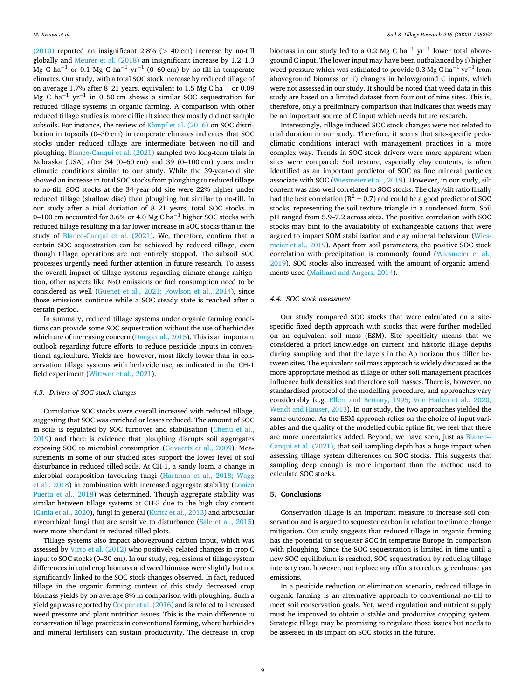(2010) reported an insignificant 2.8% (*>* 40 cm) increase by no-till globally and Meurer et al. (2018) an insignificant increase by 1.2–1.3 Mg C ha<sup>-1</sup> or 0.1 Mg C ha<sup>-1</sup> yr<sup>-1</sup> (0–60 cm) by no-till in temperate climates. Our study, with a total SOC stock increase by reduced tillage of on average 1.7% after 8–21 years, equivalent to 1.5 Mg C ha<sup> $-1$ </sup> or 0.09 Mg C ha<sup>-1</sup> yr<sup>-1</sup> in 0–50 cm shows a similar SOC sequestration for reduced tillage systems in organic farming. A comparison with other reduced tillage studies is more difficult since they mostly did not sample subsoils. For instance, the review of  $\overline{\text{Kampf}}$  et al. (2016) on SOC distribution in topsoils (0–30 cm) in temperate climates indicates that SOC stocks under reduced tillage are intermediate between no-till and ploughing. Blanco-Canqui et al. (2021) sampled two long-term trials in Nebraska (USA) after 34 (0–60 cm) and 39 (0–100 cm) years under climatic conditions similar to our study. While the 39-year-old site showed an increase in total SOC stocks from ploughing to reduced tillage to no-till, SOC stocks at the 34-year-old site were 22% higher under reduced tillage (shallow disc) than ploughing but similar to no-till. In our study after a trial duriation of 8–21 years, total SOC stocks in 0–100 cm accounted for 3.6% or 4.0 Mg C ha<sup>-1</sup> higher SOC stocks with reduced tillage resulting in a far lower increase in SOC stocks than in the study of Blanco-Canqui et al. (2021). We, therefore, confirm that a certain SOC sequestration can be achieved by reduced tillage, even though tillage operations are not entirely stopped. The subsoil SOC processes urgently need further attention in future research. To assess the overall impact of tillage systems regarding climate change mitigation, other aspects like  $N_2O$  emissions or fuel consumption need to be considered as well (Guenet et al., 2021; Powlson et al., 2014), since those emissions continue while a SOC steady state is reached after a certain period.

In summary, reduced tillage systems under organic farming conditions can provide some SOC sequestration without the use of herbicides which are of increasing concern (Dang et al., 2015). This is an important outlook regarding future efforts to reduce pesticide inputs in conventional agriculture. Yields are, however, most likely lower than in conservation tillage systems with herbicide use, as indicated in the CH-1 field experiment (Wittwer et al., 2021).

### *4.3. Drivers of SOC stock changes*

Cumulative SOC stocks were overall increased with reduced tillage, suggesting that SOC was enriched or losses reduced. The amount of SOC in soils is regulated by SOC turnover and stabilisation (Chenu et al., 2019) and there is evidence that ploughing disrupts soil aggregates exposing SOC to microbial consumption (Govaerts et al., 2009). Measurements in some of our studied sites support the lower level of soil disturbance in reduced tilled soils. At CH-1, a sandy loam, a change in microbial composition favouring fungi (Hartman et al., 2018; Wagg et al., 2018) in combination with increased aggregate stability (Loaiza Puerta et al., 2018) was determined. Though aggregate stability was similar between tillage systems at CH-3 due to the high clay content (Cania et al., 2020), fungi in general (Kuntz et al., 2013) and arbuscular mycorrhizal fungi that are sensitive to disturbance (Sale et al., 2015) were more abundant in reduced tilled plots.

Tillage systems also impact aboveground carbon input, which was assessed by Virto et al. (2012) who positively related changes in crop C input to SOC stocks (0–30 cm). In our study, regressions of tillage system differences in total crop biomass and weed biomass were slightly but not significantly linked to the SOC stock changes observed. In fact, reduced tillage in the organic farming context of this study decreased crop biomass yields by on average 8% in comparison with ploughing. Such a yield gap was reported by Cooper et al. (2016) and is related to increased weed pressure and plant nutrition issues. This is the main difference to conservation tillage practices in conventional farming, where herbicides and mineral fertilisers can sustain productivity. The decrease in crop

biomass in our study led to a 0.2 Mg C ha<sup>-1</sup> yr<sup>-1</sup> lower total aboveground C input. The lower input may have been outbalanced by i) higher weed pressure which was estimated to provide 0.3 Mg C ha<sup>-1</sup> yr<sup>-1</sup> from aboveground biomass or ii) changes in belowground C inputs, which were not assessed in our study. It should be noted that weed data in this study are based on a limited dataset from four out of nine sites. This is, therefore, only a preliminary comparison that indicates that weeds may be an important source of C input which needs future research.

Interestingly, tillage induced SOC stock changes were not related to trial duration in our study. Therefore, it seems that site-specific pedoclimatic conditions interact with management practices in a more complex way. Trends in SOC stock drivers were more apparent when sites were compared: Soil texture, especially clay contents, is often identified as an important predictor of SOC as fine mineral particles associate with SOC (Wiesmeier et al., 2019). However, in our study, silt content was also well correlated to SOC stocks. The clay/silt ratio finally had the best correlation ( $R^2 = 0.7$ ) and could be a good predictor of SOC stocks, representing the soil texture triangle in a condensed form. Soil pH ranged from 5.9–7.2 across sites. The positive correlation with SOC stocks may hint to the availability of exchangeable cations that were argued to impact SOM stabilisation and clay mineral behaviour (Wiesmeier et al., 2019). Apart from soil parameters, the positive SOC stock correlation with precipitation is commonly found (Wiesmeier et al., 2019). SOC stocks also increased with the amount of organic amendments used (Maillard and Angers, 2014).

# *4.4. SOC stock assessment*

Our study compared SOC stocks that were calculated on a sitespecific fixed depth approach with stocks that were further modelled on an equivalent soil mass (ESM). Site specificity means that we considered a priori knowledge on current and historic tillage depths during sampling and that the layers in the Ap horizon thus differ between sites. The equivalent soil mass approach is widely discussed as the more appropriate method as tillage or other soil management practices influence bulk densities and therefore soil masses. There is, however, no standardised protocol of the modelling procedure, and approaches vary considerably (e.g. Ellert and Bettany, 1995; Von Haden et al., 2020; Wendt and Hauser, 2013). In our study, the two approaches yielded the same outcome. As the ESM approach relies on the choice of input variables and the quality of the modelled cubic spline fit, we feel that there are more uncertainties added. Beyond, we have seen, just as Blanco--Canqui et al. (2021), that soil sampling depth has a huge impact when assessing tillage system differences on SOC stocks. This suggests that sampling deep enough is more important than the method used to calculate SOC stocks.

### **5. Conclusions**

Conservation tillage is an important measure to increase soil conservation and is argued to sequester carbon in relation to climate change mitigation. Our study suggests that reduced tillage in organic farming has the potential to sequester SOC in temperate Europe in comparison with ploughing. Since the SOC sequestration is limited in time until a new SOC equilibrium is reached, SOC sequestration by reducing tillage intensity can, however, not replace any efforts to reduce greenhouse gas emissions.

In a pesticide reduction or elimination scenario, reduced tillage in organic farming is an alternative approach to conventional no-till to meet soil conservation goals. Yet, weed regulation and nutrient supply must be improved to obtain a stable and productive cropping system. Strategic tillage may be promising to regulate those issues but needs to be assessed in its impact on SOC stocks in the future.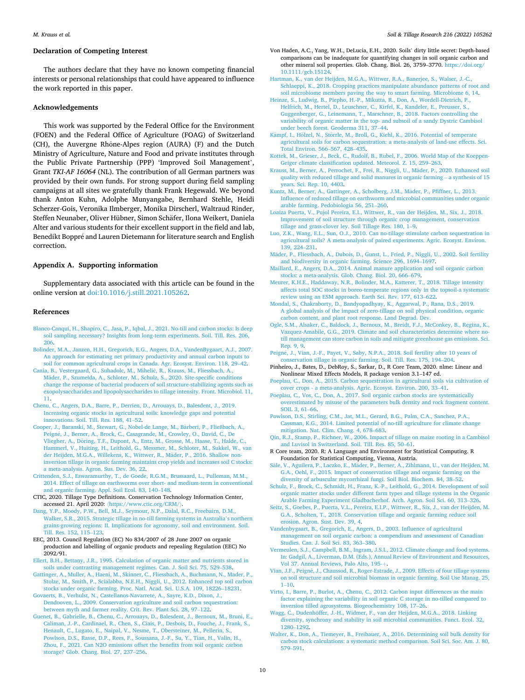### **Declaration of Competing Interest**

The authors declare that they have no known competing financial interests or personal relationships that could have appeared to influence the work reported in this paper.

# **Acknowledgements**

This work was supported by the Federal Office for the Environment (FOEN) and the Federal Office of Agriculture (FOAG) of Switzerland (CH), the Auvergne Rhône-Alpes region (AURA) (F) and the Dutch Ministry of Agriculture, Nature and Food and private institutes through the Public Private Partnership (PPP) 'Improved Soil Management', Grant *TKI-AF 16064* (NL). The contribution of all German partners was provided by their own funds. For strong support during field sampling campaigns at all sites we gratefully thank Frank Hegewald. We beyond thank Anton Kuhn, Adolphe Munyangabe, Bernhard Stehle, Heidi Scherzer-Gois, Veronika Ilmberger, Monika Dirscherl, Waltraud Rinder, Steffen Neunaber, Oliver Hübner, Simon Schäfer, Ilona Weikert, Daniela Alter and various students for their excellent support in the field and lab, Benedikt Boppré and Lauren Dietemann for literature search and English correction.

## **Appendix A. Supporting information**

Supplementary data associated with this article can be found in the online version at [doi:10.1016/j.still.2021.105262.](https://doi.org/10.1016/j.still.2021.105262)

### **References**

- [Blanco-Canqui, H., Shapiro, C., Jasa, P., Iqbal, J., 2021. No-till and carbon stocks: Is deep](http://refhub.elsevier.com/S0167-1987(21)00335-4/sbref1)  [soil sampling necessary? Insights from long-term experiments. Soil. Till. Res. 206,](http://refhub.elsevier.com/S0167-1987(21)00335-4/sbref1) [206](http://refhub.elsevier.com/S0167-1987(21)00335-4/sbref1).
- [Bolinder, M.A., Janzen, H.H., Gregorich, E.G., Angers, D.A., VandenBygaart, A.J., 2007.](http://refhub.elsevier.com/S0167-1987(21)00335-4/sbref2)  [An approach for estimating net primary productivity and annual carbon inputs to](http://refhub.elsevier.com/S0167-1987(21)00335-4/sbref2)  [soil for common agricultural crops in Canada. Agr. Ecosyst. Environ. 118, 29](http://refhub.elsevier.com/S0167-1987(21)00335-4/sbref2)–42.
- [Cania, B., Vestergaard, G., Suhadolc, M., Miheli](http://refhub.elsevier.com/S0167-1987(21)00335-4/sbref3)č, R., Krauss, M., Fliessbach, A., Mäder, P., Szumełda, A., Schloter, M., Schulz, S., 2020. Site-specific conditions [change the response of bacterial producers of soil structure-stabilizing agents such as](http://refhub.elsevier.com/S0167-1987(21)00335-4/sbref3)  [exopolysaccharides and lipopolysaccharides to tillage intensity. Front. Microbiol. 11,](http://refhub.elsevier.com/S0167-1987(21)00335-4/sbref3)  [11.](http://refhub.elsevier.com/S0167-1987(21)00335-4/sbref3)
- [Chenu, C., Angers, D.A., Barre, P., Derrien, D., Arrouays, D., Balesdent, J., 2019.](http://refhub.elsevier.com/S0167-1987(21)00335-4/sbref4) [Increasing organic stocks in agricultural soils: knowledge gaps and potential](http://refhub.elsevier.com/S0167-1987(21)00335-4/sbref4) [innovations. Soil. Till. Res. 188, 41](http://refhub.elsevier.com/S0167-1987(21)00335-4/sbref4)–52.
- Cooper, J., Baranski, M., Stewart, G., Nobel-de Lange, M., Bàrberi, P., Fließbach, A., Peigné, J., Berner, A., Brock, C., Casagrande, M., Crowley, O., David, C., De Vliegher, A., Döring, T.F., Dupont, A., Entz, M., Grosse, M., Haase, T., Halde, C., [Hammerl, V., Huiting, H., Leithold, G., Messmer, M., Schloter, M., Sukkel, W., van](http://refhub.elsevier.com/S0167-1987(21)00335-4/sbref5)  [der Heijden, M.G.A., Willekens, K., Wittwer, R., M](http://refhub.elsevier.com/S0167-1987(21)00335-4/sbref5)äder, P., 2016. Shallow non[inversion tillage in organic farming maintains crop yields and increases soil C stocks:](http://refhub.elsevier.com/S0167-1987(21)00335-4/sbref5)  [a meta-analysis. Agron. Sus. Dev. 36, 22.](http://refhub.elsevier.com/S0167-1987(21)00335-4/sbref5)
- [Crittenden, S.J., Eswaramurthy, T., de Goede, R.G.M., Brussaard, L., Pulleman, M.M.,](http://refhub.elsevier.com/S0167-1987(21)00335-4/sbref6) [2014. Effect of tillage on earthworms over short- and medium-term in conventional](http://refhub.elsevier.com/S0167-1987(21)00335-4/sbref6)  [and organic farming. Appl. Soil Ecol. 83, 140](http://refhub.elsevier.com/S0167-1987(21)00335-4/sbref6)–148.
- CTIC, 2020. Tillage Type Definitions. Conservation Technology Information Center, accessed 21. April 2020: 〈<https://www.ctic.org/CRM/>〉.
- [Dang, Y.P., Moody, P.W., Bell, M.J., Seymour, N.P., Dalal, R.C., Freebairn, D.M.,](http://refhub.elsevier.com/S0167-1987(21)00335-4/sbref7)  [Walker, S.R., 2015. Strategic tillage in no-till farming systems in Australia](http://refhub.elsevier.com/S0167-1987(21)00335-4/sbref7)'s northern [grains-growing regions: II. Implications for agronomy, soil and environment. Soil.](http://refhub.elsevier.com/S0167-1987(21)00335-4/sbref7)  [Till. Res. 152, 115](http://refhub.elsevier.com/S0167-1987(21)00335-4/sbref7)–123.
- EEC, 2013. Council Regulation (EC) No 834/2007 of 28 June 2007 on organic production and labelling of organic products and repealing Regulation (EEC) No 2092/91.
- [Ellert, B.H., Bettany, J.R., 1995. Calculation of organic matter and nutrients stored in](http://refhub.elsevier.com/S0167-1987(21)00335-4/sbref8) [soils under contrasting management regimes. Can. J. Soil Sci. 75, 529](http://refhub.elsevier.com/S0167-1987(21)00335-4/sbref8)–538.
- [Gattinger, A., Muller, A., Haeni, M., Skinner, C., Fliessbach, A., Buchmann, N., Mader, P.,](http://refhub.elsevier.com/S0167-1987(21)00335-4/sbref9)  [Stolze, M., Smith, P., Scialabba, N.E.H., Niggli, U., 2012. Enhanced top soil carbon](http://refhub.elsevier.com/S0167-1987(21)00335-4/sbref9) [stocks under organic farming. Proc. Natl. Acad. Sci. U.S.A. 109, 18226](http://refhub.elsevier.com/S0167-1987(21)00335-4/sbref9)–18231.
- [Govaerts, B., Verhulst, N., Castellanos-Navarrete, A., Sayre, K.D., Dixon, J.,](http://refhub.elsevier.com/S0167-1987(21)00335-4/sbref10) [Dendooven, L., 2009. Conservation agriculture and soil carbon sequestration:](http://refhub.elsevier.com/S0167-1987(21)00335-4/sbref10) [between myth and farmer reality. Crit. Rev. Plant Sci. 28, 97](http://refhub.elsevier.com/S0167-1987(21)00335-4/sbref10)–122.
- [Guenet, B., Gabrielle, B., Chenu, C., Arrouays, D., Balesdent, J., Bernoux, M., Bruni, E.,](http://refhub.elsevier.com/S0167-1987(21)00335-4/sbref11)  [Caliman, J.-P., Cardinael, R., Chen, S., Ciais, P., Desbois, D., Fouche, J., Frank, S.,](http://refhub.elsevier.com/S0167-1987(21)00335-4/sbref11)  [Henault, C., Lugato, E., Naipal, V., Nesme, T., Obersteiner, M., Pellerin, S.,](http://refhub.elsevier.com/S0167-1987(21)00335-4/sbref11) [Powlson, D.S., Rasse, D.P., Rees, F., Soussana, J.-F., Su, Y., Tian, H., Valin, H.,](http://refhub.elsevier.com/S0167-1987(21)00335-4/sbref11)  [Zhou, F., 2021. Can N2O emissions offset the benefits from soil organic carbon](http://refhub.elsevier.com/S0167-1987(21)00335-4/sbref11) [storage? Glob. Chang. Biol. 27, 237](http://refhub.elsevier.com/S0167-1987(21)00335-4/sbref11)–256.
- Von Haden, A.C., Yang, W.H., DeLucia, E.H., 2020. Soils' dirty little secret: Depth-based comparisons can be inadequate for quantifying changes in soil organic carbon and other mineral soil properties. Glob. Chang. Biol. 26, 3759–3770. [https://doi.org/](https://doi.org/10.1111/gcb.15124) [10.1111/gcb.15124.](https://doi.org/10.1111/gcb.15124)
- [Hartman, K., van der Heijden, M.G.A., Wittwer, R.A., Banerjee, S., Walser, J.-C.,](http://refhub.elsevier.com/S0167-1987(21)00335-4/sbref13)  [Schlaeppi, K., 2018. Cropping practices manipulate abundance patterns of root and](http://refhub.elsevier.com/S0167-1987(21)00335-4/sbref13)  [soil microbiome members paving the way to smart farming. Microbiome 6, 14.](http://refhub.elsevier.com/S0167-1987(21)00335-4/sbref13)
- [Heinze, S., Ludwig, B., Piepho, H.-P., Mikutta, R., Don, A., Wordell-Dietrich, P.,](http://refhub.elsevier.com/S0167-1987(21)00335-4/sbref14) [Helfrich, M., Hertel, D., Leuschner, C., Kirfel, K., Kandeler, E., Preusser, S.,](http://refhub.elsevier.com/S0167-1987(21)00335-4/sbref14)  [Guggenberger, G., Leinemann, T., Marschner, B., 2018. Factors controlling the](http://refhub.elsevier.com/S0167-1987(21)00335-4/sbref14)  [variability of organic matter in the top- and subsoil of a sandy Dystric Cambisol](http://refhub.elsevier.com/S0167-1987(21)00335-4/sbref14) [under beech forest. Geoderma 311, 37](http://refhub.elsevier.com/S0167-1987(21)00335-4/sbref14)–44.
- Kämpf, I., Hölzel, N., Störrle, M., Broll, G., Kiehl, K., 2016. Potential of temperate [agricultural soils for carbon sequestration: a meta-analysis of land-use effects. Sci.](http://refhub.elsevier.com/S0167-1987(21)00335-4/sbref15)  [Total Environ. 566](http://refhub.elsevier.com/S0167-1987(21)00335-4/sbref15)–567, 428–435.
- [Kottek, M., Grieser, J., Beck, C., Rudolf, B., Rubel, F., 2006. World Map of the Koeppen-](http://refhub.elsevier.com/S0167-1987(21)00335-4/sbref16)[Geiger climate classification updated. Meteorol. Z. 15, 259](http://refhub.elsevier.com/S0167-1987(21)00335-4/sbref16)–263.
- [Krauss, M., Berner, A., Perrochet, F., Frei, R., Niggli, U., M](http://refhub.elsevier.com/S0167-1987(21)00335-4/sbref17)äder, P., 2020. Enhanced soil [quality with reduced tillage and solid manures in organic farming](http://refhub.elsevier.com/S0167-1987(21)00335-4/sbref17) – a synthesis of 15 [years. Sci. Rep. 10, 4403.](http://refhub.elsevier.com/S0167-1987(21)00335-4/sbref17)
- [Kuntz, M., Berner, A., Gattinger, A., Scholberg, J.M., M](http://refhub.elsevier.com/S0167-1987(21)00335-4/sbref18)äder, P., Pfiffner, L., 2013. [Influence of reduced tillage on earthworm and microbial communities under organic](http://refhub.elsevier.com/S0167-1987(21)00335-4/sbref18)  [arable farming. Pedobiologia 56, 251](http://refhub.elsevier.com/S0167-1987(21)00335-4/sbref18)–260.
- [Loaiza Puerta, V., Pujol Pereira, E.I., Wittwer, R., van der Heijden, M., Six, J., 2018.](http://refhub.elsevier.com/S0167-1987(21)00335-4/sbref19)  [Improvement of soil structure through organic crop management, conservation](http://refhub.elsevier.com/S0167-1987(21)00335-4/sbref19) [tillage and grass-clover ley. Soil Tillage Res. 180, 1](http://refhub.elsevier.com/S0167-1987(21)00335-4/sbref19)–9.
- [Luo, Z.K., Wang, E.L., Sun, O.J., 2010. Can no-tillage stimulate carbon sequestration in](http://refhub.elsevier.com/S0167-1987(21)00335-4/sbref20)  [agricultural soils? A meta-analysis of paired experiments. Agric. Ecosyst. Environ.](http://refhub.elsevier.com/S0167-1987(21)00335-4/sbref20)  [139, 224](http://refhub.elsevier.com/S0167-1987(21)00335-4/sbref20)–231.
- Mäder, P., Fliessbach, A., Dubois, D., Gunst, L., Fried, P., Niggli, U., 2002. Soil fertility [and biodiversity in organic farming. Science 296, 1694](http://refhub.elsevier.com/S0167-1987(21)00335-4/sbref21)–1697.
- [Maillard, E., Angers, D.A., 2014. Animal manure application and soil organic carbon](http://refhub.elsevier.com/S0167-1987(21)00335-4/sbref22)  [stocks: a meta-analysis. Glob. Chang. Biol. 20, 666](http://refhub.elsevier.com/S0167-1987(21)00335-4/sbref22)–679.
- [Meurer, K.H.E., Haddaway, N.R., Bolinder, M.A., Katterer, T., 2018. Tillage intensity](http://refhub.elsevier.com/S0167-1987(21)00335-4/sbref23)  [affects total SOC stocks in boreo-temperate regions only in the topsoil-a systematic](http://refhub.elsevier.com/S0167-1987(21)00335-4/sbref23) [review using an ESM approach. Earth Sci. Rev. 177, 613](http://refhub.elsevier.com/S0167-1987(21)00335-4/sbref23)–622.
- [Mondal, S., Chakraborty, D., Bandyopadhyay, K., Aggarwal, P., Rana, D.S., 2019.](http://refhub.elsevier.com/S0167-1987(21)00335-4/sbref24)  A global analysis of the impact of zero-tillage on soil physical condition, organic [carbon content, and plant root response. Land Degrad. Dev.](http://refhub.elsevier.com/S0167-1987(21)00335-4/sbref24)
- [Ogle, S.M., Alsaker, C., Baldock, J., Bernoux, M., Breidt, F.J., McConkey, B., Regina, K.,](http://refhub.elsevier.com/S0167-1987(21)00335-4/sbref25)  [Vazquez-Amabile, G.G., 2019. Climate and soil characteristics determine where no](http://refhub.elsevier.com/S0167-1987(21)00335-4/sbref25)[till management can store carbon in soils and mitigate greenhouse gas emissions. Sci.](http://refhub.elsevier.com/S0167-1987(21)00335-4/sbref25)  [Rep. 9, 9](http://refhub.elsevier.com/S0167-1987(21)00335-4/sbref25).
- Peign´[e, J., Vian, J.-F., Payet, V., Saby, N.P.A., 2018. Soil fertility after 10 years of](http://refhub.elsevier.com/S0167-1987(21)00335-4/sbref26) [conservation tillage in organic farming. Soil. Till. Res. 175, 194](http://refhub.elsevier.com/S0167-1987(21)00335-4/sbref26)–204.
- Pinheiro, J., Bates, D., DebRoy, S., Sarkar, D., R Core Team, 2020. nlme: Linear and Nonlinear Mixed Effects Models, R package version 3.1–147 ed.
- [Poeplau, C., Don, A., 2015. Carbon sequestration in agricultural soils via cultivation of](http://refhub.elsevier.com/S0167-1987(21)00335-4/sbref27)  [cover crops - a meta-analysis. Agric. Ecosyst. Environ. 200, 33](http://refhub.elsevier.com/S0167-1987(21)00335-4/sbref27)–41.
- [Poeplau, C., Vos, C., Don, A., 2017. Soil organic carbon stocks are systematically](http://refhub.elsevier.com/S0167-1987(21)00335-4/sbref28)  [overestimated by misuse of the parameters bulk density and rock fragment content.](http://refhub.elsevier.com/S0167-1987(21)00335-4/sbref28)  [SOIL 3, 61](http://refhub.elsevier.com/S0167-1987(21)00335-4/sbref28)–66.
- [Powlson, D.S., Stirling, C.M., Jat, M.L., Gerard, B.G., Palm, C.A., Sanchez, P.A.,](http://refhub.elsevier.com/S0167-1987(21)00335-4/sbref29) [Cassman, K.G., 2014. Limited potential of no-till agriculture for climate change](http://refhub.elsevier.com/S0167-1987(21)00335-4/sbref29) [mitigation. Nat. Clim. Chang. 4, 678](http://refhub.elsevier.com/S0167-1987(21)00335-4/sbref29)–683.
- [Qin, R.J., Stamp, P., Richner, W., 2006. Impact of tillage on maize rooting in a Cambisol](http://refhub.elsevier.com/S0167-1987(21)00335-4/sbref30)  [and Luvisol in Switzerland. Soil. Till. Res. 85, 50](http://refhub.elsevier.com/S0167-1987(21)00335-4/sbref30)–61.
- R Core team, 2020. R: A Language and Environment for Statistical Computing. R Foundation for Statistical Computing, Vienna, Austria.
- Säle, V., Aguilera, P., Laczko, E., Mäder, P., Berner, A., Zihlmann, U., van der Heijden, M. [G.A., Oehl, F., 2015. Impact of conservation tillage and organic farming on the](http://refhub.elsevier.com/S0167-1987(21)00335-4/sbref31)  [diversity of arbuscular mycorrhizal fungi. Soil Biol. Biochem. 84, 38](http://refhub.elsevier.com/S0167-1987(21)00335-4/sbref31)–52.
- [Schulz, F., Brock, C., Schmidt, H., Franz, K.-P., Leithold, G., 2014. Development of soil](http://refhub.elsevier.com/S0167-1987(21)00335-4/sbref32)  [organic matter stocks under different farm types and tillage systems in the Organic](http://refhub.elsevier.com/S0167-1987(21)00335-4/sbref32)  [Arable Farming Experiment Gladbacherhof. Arch. Agron. Soil Sci. 60, 313](http://refhub.elsevier.com/S0167-1987(21)00335-4/sbref32)–326.
- [Seitz, S., Goebes, P., Puerta, V.L., Pereira, E.I.P., Wittwer, R., Six, J., van der Heijden, M.](http://refhub.elsevier.com/S0167-1987(21)00335-4/sbref33)  [G.A., Scholten, T., 2018. Conservation tillage and organic farming reduce soil](http://refhub.elsevier.com/S0167-1987(21)00335-4/sbref33)  [erosion. Agron. Sust. Dev. 39, 4](http://refhub.elsevier.com/S0167-1987(21)00335-4/sbref33).
- [Vandenbygaart, B., Gregorich, E., Angers, D., 2003. Influence of agricultural](http://refhub.elsevier.com/S0167-1987(21)00335-4/sbref34)  [management on soil organic carbon: a compendium and assessment of Canadian](http://refhub.elsevier.com/S0167-1987(21)00335-4/sbref34)  [Studies. Can. J. Soil Sci. 83, 363](http://refhub.elsevier.com/S0167-1987(21)00335-4/sbref34)–380.
- [Vermeulen, S.J., Campbell, B.M., Ingram, J.S.I., 2012. Climate change and food systems.](http://refhub.elsevier.com/S0167-1987(21)00335-4/sbref35)  [In: Gadgil, A., Liverman, D.M. \(Eds.\), Annual Review of Environment and Resources,](http://refhub.elsevier.com/S0167-1987(21)00335-4/sbref35)  [Vol 37. Annual Reviews, Palo Alto, 195-](http://refhub.elsevier.com/S0167-1987(21)00335-4/sbref35)+
- Vian, J.F., Peign´[e, J., Chaussod, R., Roger-Estrade, J., 2009. Effects of four tillage systems](http://refhub.elsevier.com/S0167-1987(21)00335-4/sbref36)  [on soil structure and soil microbial biomass in organic farming. Soil Use Manag. 25,](http://refhub.elsevier.com/S0167-1987(21)00335-4/sbref36)  1–[10.](http://refhub.elsevier.com/S0167-1987(21)00335-4/sbref36)
- [Virto, I., Barre, P., Burlot, A., Chenu, C., 2012. Carbon input differences as the main](http://refhub.elsevier.com/S0167-1987(21)00335-4/sbref37)  [factor explaining the variability in soil organic C storage in no-tilled compared to](http://refhub.elsevier.com/S0167-1987(21)00335-4/sbref37)  [inversion tilled agrosystems. Biogeochemistry 108, 17](http://refhub.elsevier.com/S0167-1987(21)00335-4/sbref37)–26.
- Wagg, C., Dudenhöffer, J.-H., Widmer, F., van der Heijden, M.G.A., 2018. Linking [diversity, synchrony and stability in soil microbial communities. Funct. Ecol. 32,](http://refhub.elsevier.com/S0167-1987(21)00335-4/sbref38) [1280](http://refhub.elsevier.com/S0167-1987(21)00335-4/sbref38)–1292.
- [Walter, K., Don, A., Tiemeyer, B., Freibauer, A., 2016. Determining soil bulk density for](http://refhub.elsevier.com/S0167-1987(21)00335-4/sbref39)  [carbon stock calculations: a systematic method comparison. Soil Sci. Soc. Am. J. 80,](http://refhub.elsevier.com/S0167-1987(21)00335-4/sbref39)  579–[591](http://refhub.elsevier.com/S0167-1987(21)00335-4/sbref39).